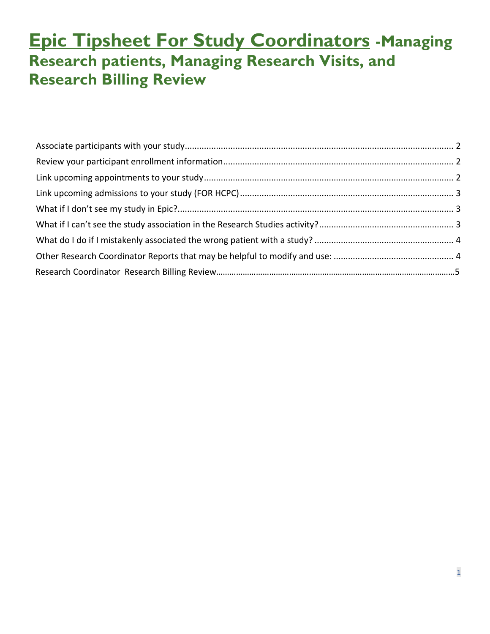### **Epic Tipsheet For Study Coordinators -Managing Research patients, Managing Research Visits, and Research Billing Review**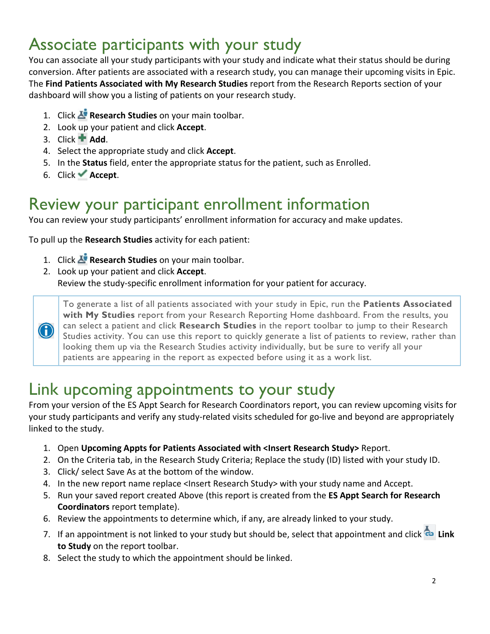#### <span id="page-1-0"></span>Associate participants with your study

You can associate all your study participants with your study and indicate what their status should be during conversion. After patients are associated with a research study, you can manage their upcoming visits in Epic. The **Find Patients Associated with My Research Studies** report from the Research Reports section of your dashboard will show you a listing of patients on your research study.

- 1. Click **Research Studies** on your main toolbar.
- 2. Look up your patient and click **Accept**.
- 3. Click  $\blacksquare$  **Add.**
- 4. Select the appropriate study and click **Accept**.
- 5. In the **Status** field, enter the appropriate status for the patient, such as Enrolled.
- 6. Click **Accept**.

#### <span id="page-1-1"></span>Review your participant enrollment information

You can review your study participants' enrollment information for accuracy and make updates.

To pull up the **Research Studies** activity for each patient:

- 1. Click **Research Studies** on your main toolbar.
- 2. Look up your patient and click **Accept**. Review the study-specific enrollment information for your patient for accuracy.



To generate a list of all patients associated with your study in Epic, run the **Patients Associated with My Studies** report from your Research Reporting Home dashboard. From the results, you can select a patient and click **Research Studies** in the report toolbar to jump to their Research Studies activity. You can use this report to quickly generate a list of patients to review, rather than looking them up via the Research Studies activity individually, but be sure to verify all your patients are appearing in the report as expected before using it as a work list.

#### <span id="page-1-2"></span>Link upcoming appointments to your study

From your version of the ES Appt Search for Research Coordinators report, you can review upcoming visits for your study participants and verify any study-related visits scheduled for go-live and beyond are appropriately linked to the study.

- 1. Open **Upcoming Appts for Patients Associated with <Insert Research Study>** Report.
- 2. On the Criteria tab, in the Research Study Criteria; Replace the study (ID) listed with your study ID.
- 3. Click/ select Save As at the bottom of the window.
- 4. In the new report name replace <Insert Research Study> with your study name and Accept.
- 5. Run your saved report created Above (this report is created from the **ES Appt Search for Research Coordinators** report template).
- 6. Review the appointments to determine which, if any, are already linked to your study.
- 7. If an appointment is not linked to your study but should be, select that appointment and click<sup>cal</sup> Link **to Study** on the report toolbar.
- 8. Select the study to which the appointment should be linked.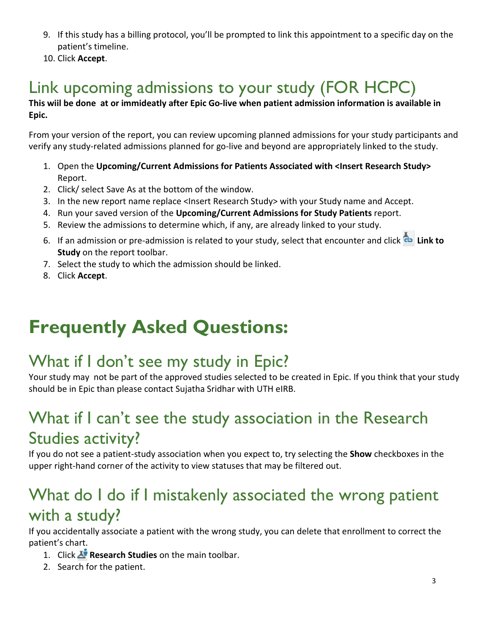- 9. If this study has a billing protocol, you'll be prompted to link this appointment to a specific day on the patient's timeline.
- 10. Click **Accept**.

## <span id="page-2-0"></span>Link upcoming admissions to your study (FOR HCPC)

#### **This wiil be done at or immideatly after Epic Go-live when patient admission information is available in Epic.**

From your version of the report, you can review upcoming planned admissions for your study participants and verify any study-related admissions planned for go-live and beyond are appropriately linked to the study.

- 1. Open the **Upcoming/Current Admissions for Patients Associated with <Insert Research Study>** Report.
- 2. Click/ select Save As at the bottom of the window.
- 3. In the new report name replace <Insert Research Study> with your Study name and Accept.
- 4. Run your saved version of the **Upcoming/Current Admissions for Study Patients** report.
- 5. Review the admissions to determine which, if any, are already linked to your study.
- 6. If an admission or pre-admission is related to your study, select that encounter and click **Link to Study** on the report toolbar.
- 7. Select the study to which the admission should be linked.
- 8. Click **Accept**.

# **Frequently Asked Questions:**

## <span id="page-2-1"></span>What if I don't see my study in Epic?

Your study may not be part of the approved studies selected to be created in Epic. If you think that your study should be in Epic than please contact Sujatha Sridhar with UTH eIRB.

#### <span id="page-2-2"></span>What if I can't see the study association in the Research Studies activity?

If you do not see a patient-study association when you expect to, try selecting the **Show** checkboxes in the upper right-hand corner of the activity to view statuses that may be filtered out.

#### <span id="page-2-3"></span>What do I do if I mistakenly associated the wrong patient with a study?

If you accidentally associate a patient with the wrong study, you can delete that enrollment to correct the patient's chart.

- 1. Click **Research Studies** on the main toolbar.
- 2. Search for the patient.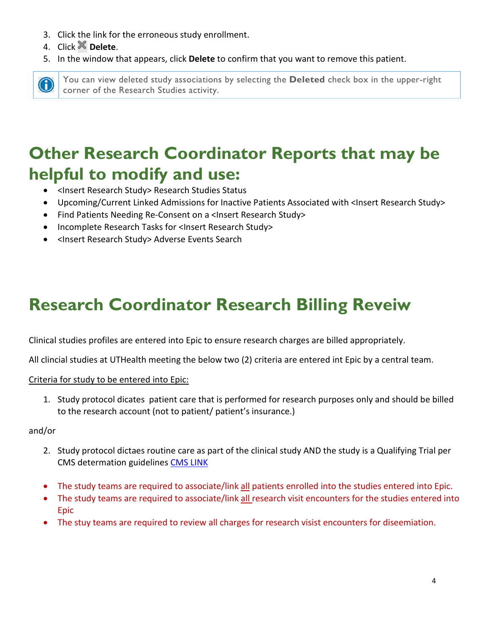- 3. Click the link for the erroneous study enrollment.
- 4. Click **Delete**.
- 5. In the window that appears, click **Delete** to confirm that you want to remove this patient.



You can view deleted study associations by selecting the **Deleted** check box in the upper-right corner of the Research Studies activity.

## <span id="page-3-0"></span>**Other Research Coordinator Reports that may be helpful to modify and use:**

- <Insert Research Study> Research Studies Status
- Upcoming/Current Linked Admissions for Inactive Patients Associated with <Insert Research Study>
- Find Patients Needing Re-Consent on a <Insert Research Study>
- Incomplete Research Tasks for <Insert Research Study>
- <Insert Research Study> Adverse Events Search

# **Research Coordinator Research Billing Reveiw**

Clinical studies profiles are entered into Epic to ensure research charges are billed appropriately.

All clincial studies at UTHealth meeting the below two (2) criteria are entered int Epic by a central team.

#### Criteria for study to be entered into Epic:

1. Study protocol dicates patient care that is performed for research purposes only and should be billed to the research account (not to patient/ patient's insurance.)

#### and/or

- 2. Study protocol dictaes routine care as part of the clinical study AND the study is a Qualifying Trial per CMS determation guidelines [CMS LINK](https://www.cms.gov/Regulations-and-Guidance/Guidance/Manuals/Internet-Only-Manuals-IOMs-Items/CMS014961)
- The study teams are required to associate/link all patients enrolled into the studies entered into Epic.
- The study teams are required to associate/link all research visit encounters for the studies entered into Epic
- The stuy teams are required to review all charges for research visist encounters for diseemiation.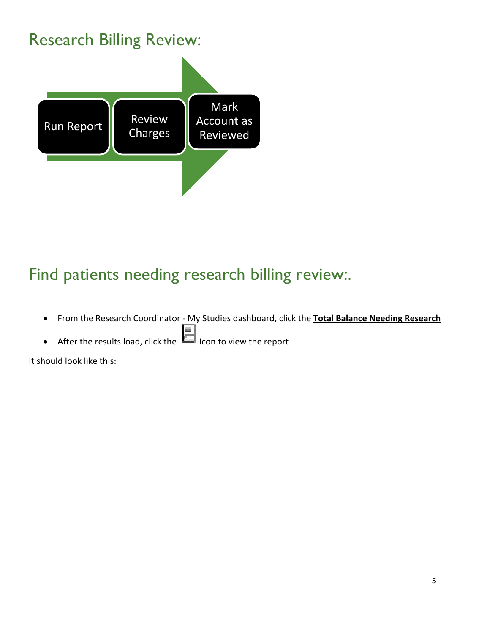### Research Billing Review:



## Find patients needing research billing review:.

- From the Research Coordinator My Studies dashboard, click the **Total Balance Needing Research**
- After the results load, click the **IFP** Icon to view the report

It should look like this: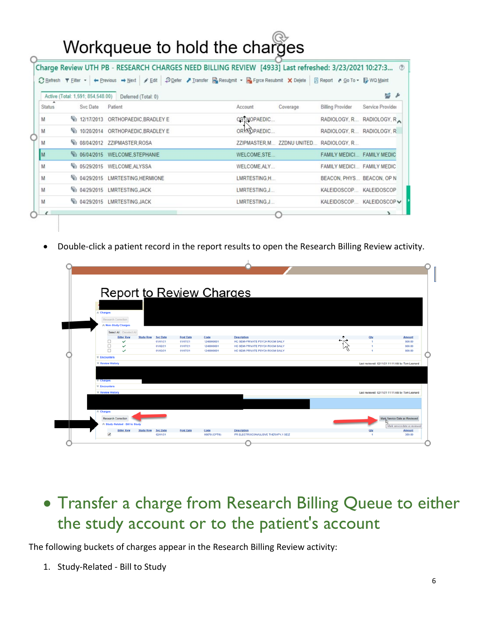# Workqueue to hold the charges

|               | Active (Total: 1,591; 854,548.00) | Deferred (Total: 0)                            |                                         |                              | 码                |
|---------------|-----------------------------------|------------------------------------------------|-----------------------------------------|------------------------------|------------------|
| <b>Status</b> | Svc Date                          | Patient                                        | Coverage<br>Account                     | <b>Billing Provider</b>      | Service Provider |
| M             |                                   | FB 12/17/2013 ORTHOPAEDIC BRADLEY E            | ORTHOPAEDIC                             | RADIOLOGY, R., RADIOLOGY, R. |                  |
| M             |                                   | <sup>6</sup> 10/20/2014 ORTHOPAEDIC.BRADLEY E  | ORYNOPAEDIC                             | RADIOLOGY, R RADIOLOGY, R.   |                  |
| M             |                                   | <sup>T</sup> E 08/04/2012 ZZIPMASTER, ROSA     | ZZIPMASTER, M ZZDNU UNITED RADIOLOGY, R |                              |                  |
| M             |                                   | 6 06/04/2015 WELCOME STEPHANIE                 | WELCOME.STE                             | FAMILY MEDICI FAMILY MEDIC   |                  |
| M             |                                   | <sup>T</sup> E 05/29/2015 WELCOME ALYSSA       | WELCOME ALY                             | FAMILY MEDICI FAMILY MEDIC   |                  |
| M             |                                   | <sup>F</sup> B 04/29/2015 LMRTESTING, HERMIONE | LMRTESTING.H                            | BEACON, PHYS BEACON, OP N    |                  |
| M             |                                   | <sup>T</sup> E 04/29/2015 LMRTESTING, JACK     | LMRTESTING.J                            | KALEIDOSCOP                  | KALEIDOSCOP      |
| M             |                                   | <sup> 04/29/2015 LMRTESTING, JACK</sup>        | LMRTESTING, J                           | KALEIDOSCOP KALEIDOSCOP V    |                  |

• Double-click a patient record in the report results to open the Research Billing Review activity.

|  | Report to Review Charges                       |                                     |              |                                     |     |                                                 |                               |
|--|------------------------------------------------|-------------------------------------|--------------|-------------------------------------|-----|-------------------------------------------------|-------------------------------|
|  | <b>R</b> Charges                               |                                     |              |                                     |     |                                                 |                               |
|  | Research Correction<br>☆ Non-Study Charges     |                                     |              |                                     |     |                                                 |                               |
|  | Select All Deselect All                        |                                     |              |                                     |     |                                                 |                               |
|  | <b>Biller Ryw</b><br><b>Study Ryw Syc Date</b> | <b>Post Date</b>                    | Code         | <b>Description</b>                  |     | Qty                                             | <b>Amount</b>                 |
|  | Ω<br>$\checkmark$                              | 01/01/21<br>01/07/21                | 1240000001   | HC SEMI-PRIVATE PSYCH ROOM DAILY    | ⇔ن← | $\overline{\phantom{a}}$                        | 800.00                        |
|  | □<br>$\checkmark$                              | 01/02/21<br>01/07/21                | 1240000001   | HC SEMI-PRIVATE PSYCH ROOM DAILY    |     |                                                 | 800.00                        |
|  | $\Box$<br>$\checkmark$                         | 01/03/21<br>01/07/21                | 1240000001   | HC SEMI-PRIVATE PSYCH ROOM DAILY    |     | ٠                                               | 800.00                        |
|  | <b>∀ Encounters</b>                            |                                     |              |                                     |     |                                                 |                               |
|  | <b>₩ Review History</b>                        |                                     |              |                                     |     | Last reviewed: 02/11/21 11:11 AM by Tom Leonard |                               |
|  |                                                |                                     |              |                                     |     |                                                 |                               |
|  |                                                |                                     |              |                                     |     |                                                 |                               |
|  | ⊗ Charges                                      |                                     |              |                                     |     |                                                 |                               |
|  | <b>₩ Encounters</b>                            |                                     |              |                                     |     |                                                 |                               |
|  | <b>₩ Review History</b>                        |                                     |              |                                     |     | Last reviewed: 02/11/21 11:11 AM by Tom Leonard |                               |
|  |                                                |                                     |              |                                     |     |                                                 |                               |
|  |                                                |                                     |              |                                     |     |                                                 |                               |
|  | A Charges                                      |                                     |              |                                     |     |                                                 |                               |
|  |                                                |                                     |              |                                     |     |                                                 |                               |
|  | Research Correction                            |                                     |              |                                     |     |                                                 | Mark Service Date as Reviewed |
|  | ☆ Study-Related - Bill to Study                |                                     |              |                                     |     |                                                 | Mark service date as reviewed |
|  | <b>Biller Ryw</b><br><b>Study Ryw</b>          | <b>Syc Date</b><br><b>Post Date</b> | Code         | Description                         |     | Qty                                             | <b>Amount</b>                 |
|  | K                                              | 02/01/21                            | 90870 (CPT®) | PR ELECTROCONVULSIVE THERAPY,1 SEIZ |     | $\mathbf{I}$                                    | 359.00                        |

### • Transfer a charge from Research Billing Queue to either the study account or to the patient's account

The following buckets of charges appear in the Research Billing Review activity:

1. Study-Related - Bill to Study